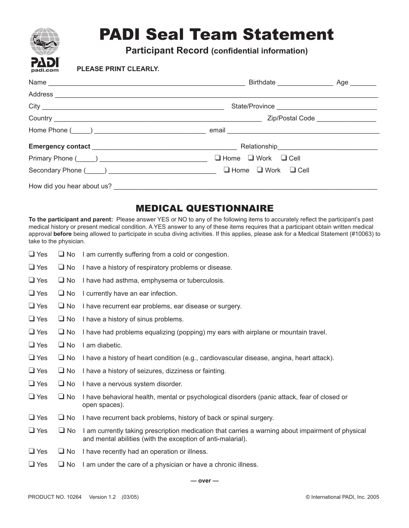

# PADI Seal Team Statement

**Participant Record (confidential information)**

### **PLEASE PRINT CLEARLY.**

| Secondary Phone (Collection 2010) 2012 11:00:00 2010 11:00:00 2010 12:00:00 2010 12:00:00 2010 12:00:00 2010 1 |  |
|----------------------------------------------------------------------------------------------------------------|--|
|                                                                                                                |  |

## MEDICAL QUESTIONNAIRE

**To the participant and parent:** Please answer YES or NO to any of the following items to accurately reflect the participant's past medical history or present medical condition. A YES answer to any of these items requires that a participant obtain written medical approval **before** being allowed to participate in scuba diving activities. If this applies, please ask for a Medical Statement (#10063) to take to the physician.

- $\Box$  Yes  $\Box$  No I am currently suffering from a cold or congestion.
- ❑ Yes ❑ No I have a history of respiratory problems or disease.
- ❑ Yes ❑ No I have had asthma, emphysema or tuberculosis.
- ❑ Yes ❑ No I currently have an ear infection.
- ❑ Yes ❑ No I have recurrent ear problems, ear disease or surgery.
- ❑ Yes ❑ No I have a history of sinus problems.
- ❑ Yes ❑ No I have had problems equalizing (popping) my ears with airplane or mountain travel.
- ❑ Yes ❑ No I am diabetic.
- ❑ Yes ❑ No I have a history of heart condition (e.g., cardiovascular disease, angina, heart attack).
- ❑ Yes ❑ No I have a history of seizures, dizziness or fainting.
- ❑ Yes ❑ No I have a nervous system disorder.
- ❑ Yes ❑ No I have behavioral health, mental or psychological disorders (panic attack, fear of closed or open spaces).
- ❑ Yes ❑ No I have recurrent back problems, history of back or spinal surgery.
- $\Box$  Yes  $\Box$  No I am currently taking prescription medication that carries a warning about impairment of physical and mental abilities (with the exception of anti-malarial).
- ❑ Yes ❑ No I have recently had an operation or illness.
- $\Box$  Yes  $\Box$  No I am under the care of a physician or have a chronic illness.

**— over —**